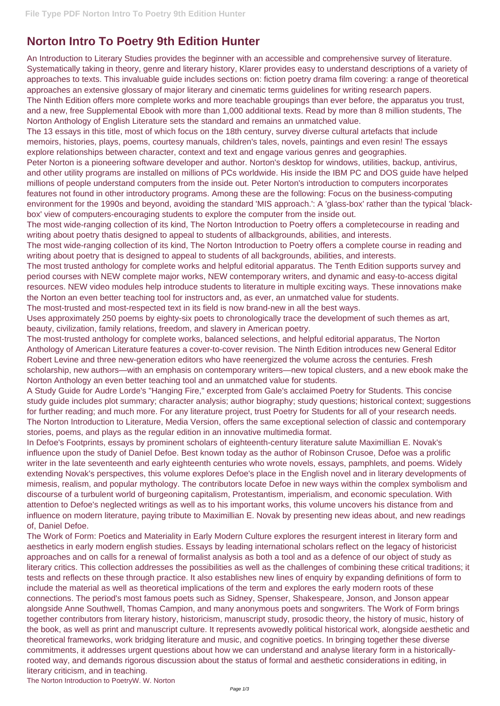## **Norton Intro To Poetry 9th Edition Hunter**

An Introduction to Literary Studies provides the beginner with an accessible and comprehensive survey of literature. Systematically taking in theory, genre and literary history, Klarer provides easy to understand descriptions of a variety of approaches to texts. This invaluable guide includes sections on: fiction poetry drama film covering: a range of theoretical approaches an extensive glossary of major literary and cinematic terms guidelines for writing research papers. The Ninth Edition offers more complete works and more teachable groupings than ever before, the apparatus you trust, and a new, free Supplemental Ebook with more than 1,000 additional texts. Read by more than 8 million students, The Norton Anthology of English Literature sets the standard and remains an unmatched value.

The 13 essays in this title, most of which focus on the 18th century, survey diverse cultural artefacts that include memoirs, histories, plays, poems, courtesy manuals, children's tales, novels, paintings and even resin! The essays explore relationships between character, context and text and engage various genres and geographies.

Peter Norton is a pioneering software developer and author. Norton's desktop for windows, utilities, backup, antivirus, and other utility programs are installed on millions of PCs worldwide. His inside the IBM PC and DOS guide have helped millions of people understand computers from the inside out. Peter Norton's introduction to computers incorporates features not found in other introductory programs. Among these are the following: Focus on the business-computing environment for the 1990s and beyond, avoiding the standard 'MIS approach.': A 'glass-box' rather than the typical 'blackbox' view of computers-encouraging students to explore the computer from the inside out.

The most wide-ranging collection of its kind, The Norton Introduction to Poetry offers a completecourse in reading and writing about poetry thatis designed to appeal to students of allbackgrounds, abilities, and interests.

The most wide-ranging collection of its kind, The Norton Introduction to Poetry offers a complete course in reading and writing about poetry that is designed to appeal to students of all backgrounds, abilities, and interests.

The most trusted anthology for complete works and helpful editorial apparatus. The Tenth Edition supports survey and period courses with NEW complete major works, NEW contemporary writers, and dynamic and easy-to-access digital resources. NEW video modules help introduce students to literature in multiple exciting ways. These innovations make the Norton an even better teaching tool for instructors and, as ever, an unmatched value for students.

The most-trusted and most-respected text in its field is now brand-new in all the best ways.

Uses approximately 250 poems by eighty-six poets to chronologically trace the development of such themes as art, beauty, civilization, family relations, freedom, and slavery in American poetry.

The most-trusted anthology for complete works, balanced selections, and helpful editorial apparatus, The Norton Anthology of American Literature features a cover-to-cover revision. The Ninth Edition introduces new General Editor Robert Levine and three new-generation editors who have reenergized the volume across the centuries. Fresh scholarship, new authors—with an emphasis on contemporary writers—new topical clusters, and a new ebook make the Norton Anthology an even better teaching tool and an unmatched value for students.

A Study Guide for Audre Lorde's "Hanging Fire," excerpted from Gale's acclaimed Poetry for Students. This concise study guide includes plot summary; character analysis; author biography; study questions; historical context; suggestions for further reading; and much more. For any literature project, trust Poetry for Students for all of your research needs. The Norton Introduction to Literature, Media Version, offers the same exceptional selection of classic and contemporary stories, poems, and plays as the regular edition in an innovative multimedia format.

In Defoe's Footprints, essays by prominent scholars of eighteenth-century literature salute Maximillian E. Novak's influence upon the study of Daniel Defoe. Best known today as the author of Robinson Crusoe, Defoe was a prolific writer in the late seventeenth and early eighteenth centuries who wrote novels, essays, pamphlets, and poems. Widely extending Novak's perspectives, this volume explores Defoe's place in the English novel and in literary developments of mimesis, realism, and popular mythology. The contributors locate Defoe in new ways within the complex symbolism and discourse of a turbulent world of burgeoning capitalism, Protestantism, imperialism, and economic speculation. With attention to Defoe's neglected writings as well as to his important works, this volume uncovers his distance from and influence on modern literature, paying tribute to Maximillian E. Novak by presenting new ideas about, and new readings of, Daniel Defoe.

The Work of Form: Poetics and Materiality in Early Modern Culture explores the resurgent interest in literary form and aesthetics in early modern english studies. Essays by leading international scholars reflect on the legacy of historicist approaches and on calls for a renewal of formalist analysis as both a tool and as a defence of our object of study as literary critics. This collection addresses the possibilities as well as the challenges of combining these critical traditions; it tests and reflects on these through practice. It also establishes new lines of enquiry by expanding definitions of form to include the material as well as theoretical implications of the term and explores the early modern roots of these connections. The period's most famous poets such as Sidney, Spenser, Shakespeare, Jonson, and Jonson appear alongside Anne Southwell, Thomas Campion, and many anonymous poets and songwriters. The Work of Form brings together contributors from literary history, historicism, manuscript study, prosodic theory, the history of music, history of the book, as well as print and manuscript culture. It represents avowedly political historical work, alongside aesthetic and theoretical frameworks, work bridging literature and music, and cognitive poetics. In bringing together these diverse commitments, it addresses urgent questions about how we can understand and analyse literary form in a historicallyrooted way, and demands rigorous discussion about the status of formal and aesthetic considerations in editing, in literary criticism, and in teaching. The Norton Introduction to PoetryW. W. Norton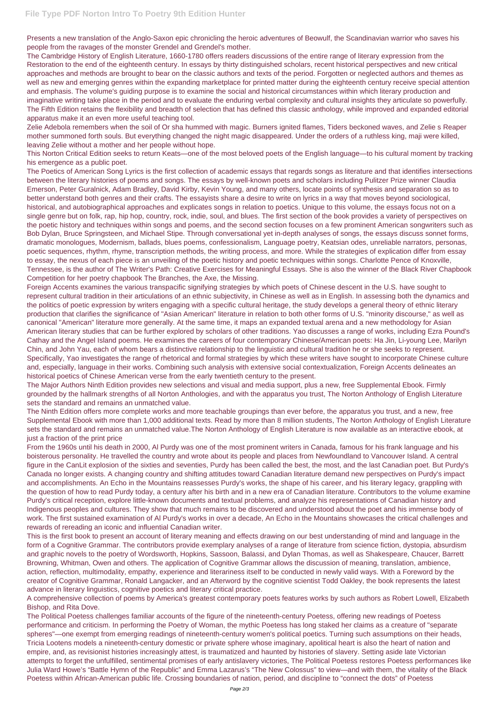Presents a new translation of the Anglo-Saxon epic chronicling the heroic adventures of Beowulf, the Scandinavian warrior who saves his people from the ravages of the monster Grendel and Grendel's mother.

The Cambridge History of English Literature, 1660-1780 offers readers discussions of the entire range of literary expression from the Restoration to the end of the eighteenth century. In essays by thirty distinguished scholars, recent historical perspectives and new critical approaches and methods are brought to bear on the classic authors and texts of the period. Forgotten or neglected authors and themes as well as new and emerging genres within the expanding marketplace for printed matter during the eighteenth century receive special attention and emphasis. The volume's guiding purpose is to examine the social and historical circumstances within which literary production and imaginative writing take place in the period and to evaluate the enduring verbal complexity and cultural insights they articulate so powerfully. The Fifth Edition retains the flexibility and breadth of selection that has defined this classic anthology, while improved and expanded editorial apparatus make it an even more useful teaching tool.

Zelie Adebola remembers when the soil of Or sha hummed with magic. Burners ignited flames, Tiders beckoned waves, and Zelie s Reaper mother summoned forth souls. But everything changed the night magic disappeared. Under the orders of a ruthless king, maji were killed, leaving Zelie without a mother and her people without hope.

This Norton Critical Edition seeks to return Keats—one of the most beloved poets of the English language—to his cultural moment by tracking his emergence as a public poet.

The Poetics of American Song Lyrics is the first collection of academic essays that regards songs as literature and that identifies intersections between the literary histories of poems and songs. The essays by well-known poets and scholars including Pulitzer Prize winner Claudia Emerson, Peter Guralnick, Adam Bradley, David Kirby, Kevin Young, and many others, locate points of synthesis and separation so as to better understand both genres and their crafts. The essayists share a desire to write on lyrics in a way that moves beyond sociological, historical, and autobiographical approaches and explicates songs in relation to poetics. Unique to this volume, the essays focus not on a single genre but on folk, rap, hip hop, country, rock, indie, soul, and blues. The first section of the book provides a variety of perspectives on the poetic history and techniques within songs and poems, and the second section focuses on a few prominent American songwriters such as Bob Dylan, Bruce Springsteen, and Michael Stipe. Through conversational yet in-depth analyses of songs, the essays discuss sonnet forms, dramatic monologues, Modernism, ballads, blues poems, confessionalism, Language poetry, Keatsian odes, unreliable narrators, personas, poetic sequences, rhythm, rhyme, transcription methods, the writing process, and more. While the strategies of explication differ from essay to essay, the nexus of each piece is an unveiling of the poetic history and poetic techniques within songs. Charlotte Pence of Knoxville, Tennessee, is the author of The Writer's Path: Creative Exercises for Meaningful Essays. She is also the winner of the Black River Chapbook Competition for her poetry chapbook The Branches, the Axe, the Missing.

Foreign Accents examines the various transpacific signifying strategies by which poets of Chinese descent in the U.S. have sought to represent cultural tradition in their articulations of an ethnic subjectivity, in Chinese as well as in English. In assessing both the dynamics and the politics of poetic expression by writers engaging with a specific cultural heritage, the study develops a general theory of ethnic literary production that clarifies the significance of "Asian American" literature in relation to both other forms of U.S. "minority discourse," as well as canonical "American" literature more generally. At the same time, it maps an expanded textual arena and a new methodology for Asian American literary studies that can be further explored by scholars of other traditions. Yao discusses a range of works, including Ezra Pound's Cathay and the Angel Island poems. He examines the careers of four contemporary Chinese/American poets: Ha Jin, Li-young Lee, Marilyn Chin, and John Yau, each of whom bears a distinctive relationship to the linguistic and cultural tradition he or she seeks to represent. Specifically, Yao investigates the range of rhetorical and formal strategies by which these writers have sought to incorporate Chinese culture and, especially, language in their works. Combining such analysis with extensive social contextualization, Foreign Accents delineates an historical poetics of Chinese American verse from the early twentieth century to the present.

The Major Authors Ninth Edition provides new selections and visual and media support, plus a new, free Supplemental Ebook. Firmly grounded by the hallmark strengths of all Norton Anthologies, and with the apparatus you trust, The Norton Anthology of English Literature sets the standard and remains an unmatched value.

The Ninth Edition offers more complete works and more teachable groupings than ever before, the apparatus you trust, and a new, free Supplemental Ebook with more than 1,000 additional texts. Read by more than 8 million students, The Norton Anthology of English Literature sets the standard and remains an unmatched value.The Norton Anthology of English Literature is now available as an interactive ebook, at just a fraction of the print price

From the 1960s until his death in 2000, Al Purdy was one of the most prominent writers in Canada, famous for his frank language and his boisterous personality. He travelled the country and wrote about its people and places from Newfoundland to Vancouver Island. A central figure in the CanLit explosion of the sixties and seventies, Purdy has been called the best, the most, and the last Canadian poet. But Purdy's Canada no longer exists. A changing country and shifting attitudes toward Canadian literature demand new perspectives on Purdy's impact and accomplishments. An Echo in the Mountains reassesses Purdy's works, the shape of his career, and his literary legacy, grappling with the question of how to read Purdy today, a century after his birth and in a new era of Canadian literature. Contributors to the volume examine Purdy's critical reception, explore little-known documents and textual problems, and analyze his representations of Canadian history and Indigenous peoples and cultures. They show that much remains to be discovered and understood about the poet and his immense body of work. The first sustained examination of Al Purdy's works in over a decade, An Echo in the Mountains showcases the critical challenges and rewards of rereading an iconic and influential Canadian writer.

This is the first book to present an account of literary meaning and effects drawing on our best understanding of mind and language in the form of a Cognitive Grammar. The contributors provide exemplary analyses of a range of literature from science fiction, dystopia, absurdism and graphic novels to the poetry of Wordsworth, Hopkins, Sassoon, Balassi, and Dylan Thomas, as well as Shakespeare, Chaucer, Barrett Browning, Whitman, Owen and others. The application of Cognitive Grammar allows the discussion of meaning, translation, ambience, action, reflection, multimodality, empathy, experience and literariness itself to be conducted in newly valid ways. With a Foreword by the creator of Cognitive Grammar, Ronald Langacker, and an Afterword by the cognitive scientist Todd Oakley, the book represents the latest advance in literary linguistics, cognitive poetics and literary critical practice.

A comprehensive collection of poems by America's greatest contemporary poets features works by such authors as Robert Lowell, Elizabeth Bishop, and Rita Dove.

The Political Poetess challenges familiar accounts of the figure of the nineteenth-century Poetess, offering new readings of Poetess performance and criticism. In performing the Poetry of Woman, the mythic Poetess has long staked her claims as a creature of "separate spheres"—one exempt from emerging readings of nineteenth-century women's political poetics. Turning such assumptions on their heads, Tricia Lootens models a nineteenth-century domestic or private sphere whose imaginary, apolitical heart is also the heart of nation and empire, and, as revisionist histories increasingly attest, is traumatized and haunted by histories of slavery. Setting aside late Victorian attempts to forget the unfulfilled, sentimental promises of early antislavery victories, The Political Poetess restores Poetess performances like Julia Ward Howe's "Battle Hymn of the Republic" and Emma Lazarus's "The New Colossus" to view—and with them, the vitality of the Black Poetess within African-American public life. Crossing boundaries of nation, period, and discipline to "connect the dots" of Poetess